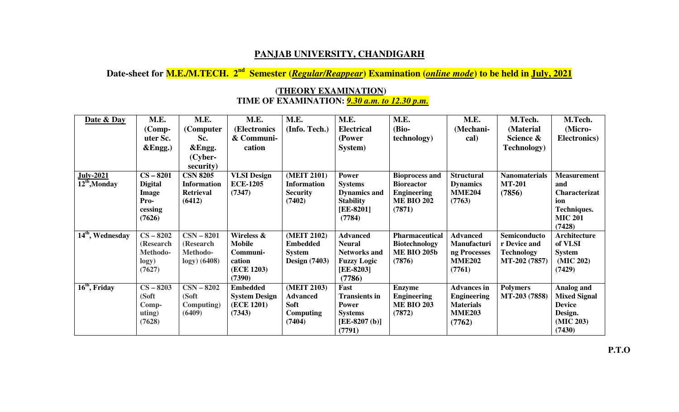## **PANJAB UNIVERSITY, CHANDIGARH**

## **Date-sheet for M.E./M.TECH. 2nd Semester (***Regular/Reappear***) Examination (***online mode***) to be held in July, 2021**

| Date & Day                   | M.E.           | M.E.               | M.E.                 | M.E.                 | M.E.                 | M.E.                  | M.E.               | M.Tech.              | M.Tech.                              |
|------------------------------|----------------|--------------------|----------------------|----------------------|----------------------|-----------------------|--------------------|----------------------|--------------------------------------|
|                              | $(Comp-$       | (Computer          | (Electronics         | (Info. Tech.)        | <b>Electrical</b>    | (Bio-                 | (Mechani-          | (Material            | (Micro-                              |
|                              | uter Sc.       | Sc.                | & Communi-           |                      | (Power               | <i>technology</i> )   | cal)               | Science &            | Electronics)                         |
|                              | &Engg.)        | &Engg.             | cation               |                      | System)              |                       |                    | <b>Technology</b> )  |                                      |
|                              |                | (Cyber-            |                      |                      |                      |                       |                    |                      |                                      |
|                              |                | security)          |                      |                      |                      |                       |                    |                      |                                      |
| <b>July-2021</b>             | $CS - 8201$    | <b>CSN 8205</b>    | <b>VLSI Design</b>   | (MEIT 2101)          | <b>Power</b>         | <b>Bioprocess and</b> | <b>Structural</b>  | <b>Nanomaterials</b> | <b>Measurement</b>                   |
| $12th$ , Monday              | <b>Digital</b> | <b>Information</b> | <b>ECE-1205</b>      | <b>Information</b>   | <b>Systems</b>       | <b>Bioreactor</b>     | <b>Dynamics</b>    | <b>MT-201</b>        | and                                  |
|                              | <b>Image</b>   | <b>Retrieval</b>   | (7347)               | <b>Security</b>      | <b>Dynamics and</b>  | <b>Engineering</b>    | <b>MME204</b>      | (7856)               | Characterizat                        |
|                              | Pro-           | (6412)             |                      | (7402)               | <b>Stability</b>     | <b>ME BIO 202</b>     | (7763)             |                      | ion                                  |
|                              | cessing        |                    |                      |                      | [EE-8201]            | (7871)                |                    |                      | <b>Techniques.</b><br><b>MIC 201</b> |
|                              | (7626)         |                    |                      |                      | (7784)               |                       |                    |                      | (7428)                               |
| 14 <sup>th</sup> , Wednesday | $CS - 8202$    | $CSN - 8201$       | Wireless &           | (MEIT 2102)          | <b>Advanced</b>      | <b>Pharmaceutical</b> | <b>Advanced</b>    | Semiconducto         | <b>Architecture</b>                  |
|                              | (Research      | (Research          | <b>Mobile</b>        | <b>Embedded</b>      | <b>Neural</b>        | <b>Biotechnology</b>  | Manufacturi        | r Device and         | of VLSI                              |
|                              | Methodo-       | Methodo-           | Communi-             | <b>System</b>        | <b>Networks and</b>  | <b>ME BIO 205b</b>    | ng Processes       | <b>Technology</b>    | <b>System</b>                        |
|                              | logy)          | $logy)$ (6408)     | cation               | <b>Design</b> (7403) | <b>Fuzzy Logic</b>   | (7876)                | <b>MME202</b>      | MT-202 (7857)        | (MIC 202)                            |
|                              | (7627)         |                    | (ECE 1203)           |                      | [EE-8203]            |                       | (7761)             |                      | (7429)                               |
|                              |                |                    | (7390)               |                      | (7786)               |                       |                    |                      |                                      |
| $16th$ , Friday              | $CS - 8203$    | $CSN - 8202$       | <b>Embedded</b>      | (MEIT 2103)          | Fast                 | <b>Enzyme</b>         | <b>Advances in</b> | <b>Polymers</b>      | Analog and                           |
|                              | (Soft          | (Soft              | <b>System Design</b> | <b>Advanced</b>      | <b>Transients in</b> | <b>Engineering</b>    | <b>Engineering</b> | MT-203 (7858)        | <b>Mixed Signal</b>                  |
|                              | Comp-          | Computing)         | (ECE 1201)           | Soft                 | <b>Power</b>         | <b>ME BIO 203</b>     | <b>Materials</b>   |                      | <b>Device</b>                        |
|                              | uting)         | (6409)             | (7343)               | Computing            | <b>Systems</b>       | (7872)                | <b>MME203</b>      |                      | Design.                              |
|                              | (7628)         |                    |                      | (7404)               | $[EE-8207 (b)]$      |                       | (7762)             |                      | (MIC 203)                            |
|                              |                |                    |                      |                      | (7791)               |                       |                    |                      | (7430)                               |

## **(THEORY EXAMINATION) TIME OF EXAMINATION:** *9.30 a.m. to 12.30 p.m.*